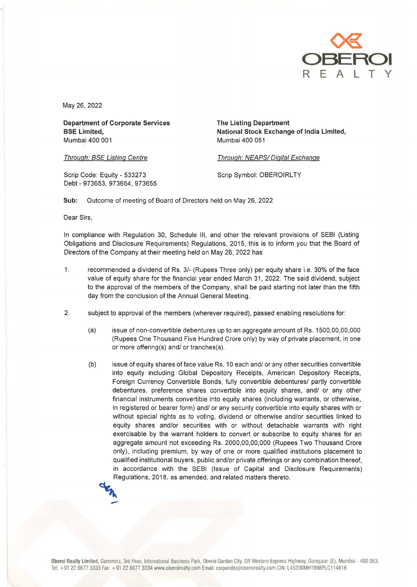

May 26, 2022

Department of Corporate Services BSE Limited, Mumbai 400 001

The Listing Department National Stock Exchange of India Limited, Mumbai 400 051

Through: BSE Listing Centre

Through: NEAPS/Digital Exchange

Scrip Code: Equity - 533273 Debt-973653, 973654, 973655 Scrip Symbol: OBEROIRLTY

Sub: Outcome of meeting of Board of Directors held on May 26, 2022

Dear Sirs,

In compliance with Regulation 30, Schedule Ill, and other the relevant provisions of SEBI (Listing Obligations and Disclosure Requirements) Regulations, 2015, this is to inform you that the Board of Directors of the Company at their meeting held on May 26, 2022 has

- 1. recommended a dividend of Rs. 3/- (Rupees Three only) per equity share i.e. 30% of the face value of equity share for the financial year ended March 31, 2022. The said dividend, subject to the approval of the members of the Company, shall be paid starting not later than the fifth day from the conclusion of the Annual General Meeting.
- 2. subject to approval of the members (wherever required), passed enabling resolutions for:
	- (a) issue of non-convertible debentures up to an aggregate amount of Rs. 1500,00,00,000 (Rupees One Thousand Five Hundred Crore only) by way of private placement, in one or more offering(s) and/ or tranches(s).
	- (b) issue of equity shares of face value Rs. 10 each and/ or any other securities convertible into equity including Global Depository Receipts, American Depository Receipts, Foreign Currency Convertible Bonds, fully convertible debentures/ partly convertible debentures, preference shares convertible into equity shares, and/ or any other financial instruments convertible into equity shares (including warrants, or otherwise, in registered or bearer form) and/ or any security convertible into equity shares with or without special rights as to voting, dividend or otherwise and/or securities linked to equity shares and/or securities with or without detachable warrants with right exercisable by the warrant holders to convert or subscribe to equity shares for an aggregate amount not exceeding Rs. 2000,00,00,000 (Rupees Two Thousand Crore only), including premium, by way of one or more qualified institutions placement to qualified institutional buyers, public and/or private offerings or any combination thereof, in accordance with the SEBI (Issue of Capital and Disclosure Requirements) Regulations, 2018, as amended, and related matters thereto. **MAX**